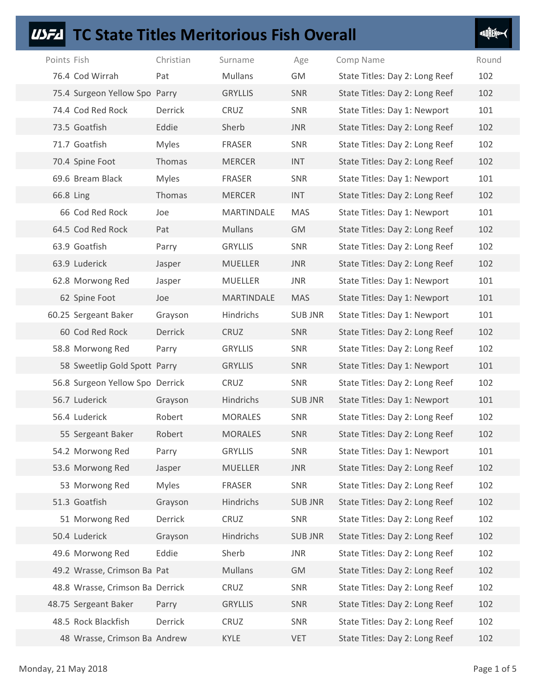## **USFA** TC State Titles Meritorious Fish Overall

| I | ٠<br>ı<br>ı |
|---|-------------|
|   |             |

| <b>TC State Titles Meritorious Fish Overall</b><br>USF4 |              |                |                |                                |             |
|---------------------------------------------------------|--------------|----------------|----------------|--------------------------------|-------------|
| Points Fish                                             | Christian    | Surname        | Age            | Comp Name                      | Round       |
| 76.4 Cod Wirrah                                         | Pat          | Mullans        | GM             | State Titles: Day 2: Long Reef | 102         |
| 75.4 Surgeon Yellow Spo Parry                           |              | <b>GRYLLIS</b> | SNR            | State Titles: Day 2: Long Reef | 102         |
| 74.4 Cod Red Rock                                       | Derrick      | CRUZ           | SNR            | State Titles: Day 1: Newport   | 101         |
| 73.5 Goatfish                                           | Eddie        | Sherb          | <b>JNR</b>     | State Titles: Day 2: Long Reef | 102         |
| 71.7 Goatfish                                           | <b>Myles</b> | FRASER         | SNR            | State Titles: Day 2: Long Reef | 102         |
| 70.4 Spine Foot                                         | Thomas       | <b>MERCER</b>  | <b>INT</b>     | State Titles: Day 2: Long Reef | 102         |
| 69.6 Bream Black                                        | <b>Myles</b> | FRASER         | SNR            | State Titles: Day 1: Newport   | 101         |
| 66.8 Ling                                               | Thomas       | <b>MERCER</b>  | <b>INT</b>     | State Titles: Day 2: Long Reef | 102         |
| 66 Cod Red Rock                                         | Joe          | MARTINDALE     | <b>MAS</b>     | State Titles: Day 1: Newport   | 101         |
| 64.5 Cod Red Rock                                       | Pat          | <b>Mullans</b> | <b>GM</b>      | State Titles: Day 2: Long Reef | 102         |
| 63.9 Goatfish                                           | Parry        | <b>GRYLLIS</b> | SNR            | State Titles: Day 2: Long Reef | 102         |
| 63.9 Luderick                                           | Jasper       | MUELLER        | JNR            | State Titles: Day 2: Long Reef | 102         |
| 62.8 Morwong Red                                        | Jasper       | MUELLER        | JNR            | State Titles: Day 1: Newport   | 101         |
| 62 Spine Foot                                           | Joe          | MARTINDALE     | <b>MAS</b>     | State Titles: Day 1: Newport   | 101         |
| 60.25 Sergeant Baker                                    | Grayson      | Hindrichs      | <b>SUB JNR</b> | State Titles: Day 1: Newport   | 101         |
| 60 Cod Red Rock                                         | Derrick      | CRUZ           | SNR            | State Titles: Day 2: Long Reef | 102         |
| 58.8 Morwong Red                                        | Parry        | <b>GRYLLIS</b> | SNR            | State Titles: Day 2: Long Reef | 102         |
| 58 Sweetlip Gold Spott Parry                            |              | <b>GRYLLIS</b> | SNR            | State Titles: Day 1: Newport   | 101         |
| 56.8 Surgeon Yellow Spo Derrick                         |              | CRUZ           | SNR            | State Titles: Day 2: Long Reef | 102         |
| 56.7 Luderick                                           | Grayson      | Hindrichs      | <b>SUB JNR</b> | State Titles: Day 1: Newport   | 101         |
| 56.4 Luderick                                           | Robert       | <b>MORALES</b> | SNR            | State Titles: Day 2: Long Reef | 102         |
| 55 Sergeant Baker                                       | Robert       | <b>MORALES</b> | SNR            | State Titles: Day 2: Long Reef | 102         |
| 54.2 Morwong Red                                        | Parry        | <b>GRYLLIS</b> | SNR            | State Titles: Day 1: Newport   | 101         |
| 53.6 Morwong Red                                        | Jasper       | <b>MUELLER</b> | JNR            | State Titles: Day 2: Long Reef | 102         |
| 53 Morwong Red                                          | Myles        | FRASER         | SNR            | State Titles: Day 2: Long Reef | 102         |
| 51.3 Goatfish                                           | Grayson      | Hindrichs      | <b>SUB JNR</b> | State Titles: Day 2: Long Reef | 102         |
| 51 Morwong Red                                          | Derrick      | CRUZ           | SNR            | State Titles: Day 2: Long Reef | 102         |
| 50.4 Luderick                                           | Grayson      | Hindrichs      | <b>SUB JNR</b> | State Titles: Day 2: Long Reef | 102         |
| 49.6 Morwong Red                                        | Eddie        | Sherb          | JNR            | State Titles: Day 2: Long Reef | 102         |
| 49.2 Wrasse, Crimson Ba Pat                             |              | <b>Mullans</b> | GM             | State Titles: Day 2: Long Reef | 102         |
| 48.8 Wrasse, Crimson Ba Derrick                         |              | CRUZ           | SNR            | State Titles: Day 2: Long Reef | 102         |
| 48.75 Sergeant Baker                                    | Parry        | <b>GRYLLIS</b> | SNR            | State Titles: Day 2: Long Reef | 102         |
| 48.5 Rock Blackfish                                     | Derrick      | CRUZ           | SNR            | State Titles: Day 2: Long Reef | 102         |
| 48 Wrasse, Crimson Ba Andrew                            |              | KYLE           | <b>VET</b>     | State Titles: Day 2: Long Reef | 102         |
|                                                         |              |                |                |                                |             |
| Monday, 21 May 2018                                     |              |                |                |                                | Page 1 of 5 |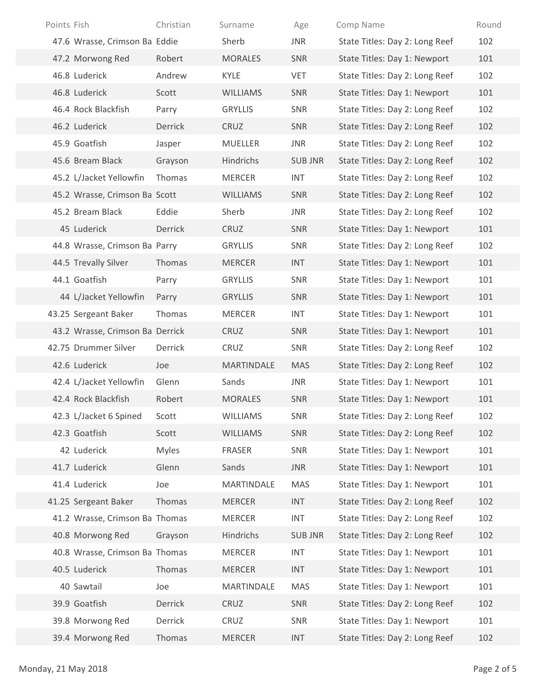| Points Fish                     | Christian    | Surname         | Age            | Comp Name                      | Round       |
|---------------------------------|--------------|-----------------|----------------|--------------------------------|-------------|
| 47.6 Wrasse, Crimson Ba Eddie   |              | Sherb           | <b>JNR</b>     | State Titles: Day 2: Long Reef | 102         |
| 47.2 Morwong Red                | Robert       | <b>MORALES</b>  | SNR            | State Titles: Day 1: Newport   | 101         |
| 46.8 Luderick                   | Andrew       | KYLE            | VET            | State Titles: Day 2: Long Reef | 102         |
| 46.8 Luderick                   | Scott        | <b>WILLIAMS</b> | SNR            | State Titles: Day 1: Newport   | 101         |
| 46.4 Rock Blackfish             | Parry        | <b>GRYLLIS</b>  | SNR            | State Titles: Day 2: Long Reef | 102         |
| 46.2 Luderick                   | Derrick      | CRUZ            | SNR            | State Titles: Day 2: Long Reef | 102         |
| 45.9 Goatfish                   | Jasper       | <b>MUELLER</b>  | JNR            | State Titles: Day 2: Long Reef | 102         |
| 45.6 Bream Black                | Grayson      | Hindrichs       | <b>SUB JNR</b> | State Titles: Day 2: Long Reef | 102         |
| 45.2 L/Jacket Yellowfin         | Thomas       | <b>MERCER</b>   | <b>INT</b>     | State Titles: Day 2: Long Reef | 102         |
| 45.2 Wrasse, Crimson Ba Scott   |              | <b>WILLIAMS</b> | SNR            | State Titles: Day 2: Long Reef | 102         |
| 45.2 Bream Black                | Eddie        | Sherb           | JNR            | State Titles: Day 2: Long Reef | 102         |
| 45 Luderick                     | Derrick      | CRUZ            | SNR            | State Titles: Day 1: Newport   | 101         |
| 44.8 Wrasse, Crimson Ba Parry   |              | <b>GRYLLIS</b>  | SNR            | State Titles: Day 2: Long Reef | 102         |
| 44.5 Trevally Silver            | Thomas       | <b>MERCER</b>   | <b>INT</b>     | State Titles: Day 1: Newport   | 101         |
| 44.1 Goatfish                   | Parry        | <b>GRYLLIS</b>  | SNR            | State Titles: Day 1: Newport   | 101         |
| 44 L/Jacket Yellowfin           | Parry        | <b>GRYLLIS</b>  | SNR            | State Titles: Day 1: Newport   | 101         |
| 43.25 Sergeant Baker            | Thomas       | <b>MERCER</b>   | INT            | State Titles: Day 1: Newport   | 101         |
| 43.2 Wrasse, Crimson Ba Derrick |              | CRUZ            | SNR            | State Titles: Day 1: Newport   | 101         |
| 42.75 Drummer Silver            | Derrick      | CRUZ            | SNR            | State Titles: Day 2: Long Reef | 102         |
| 42.6 Luderick                   | Joe          | MARTINDALE      | <b>MAS</b>     | State Titles: Day 2: Long Reef | 102         |
| 42.4 L/Jacket Yellowfin         | Glenn        | Sands           | JNR            | State Titles: Day 1: Newport   | 101         |
| 42.4 Rock Blackfish             | Robert       | <b>MORALES</b>  | SNR            | State Titles: Day 1: Newport   | 101         |
| 42.3 L/Jacket 6 Spined          | Scott        | WILLIAMS        | SNR            | State Titles: Day 2: Long Reef | 102         |
| 42.3 Goatfish                   | Scott        | WILLIAMS        | SNR            | State Titles: Day 2: Long Reef | 102         |
| 42 Luderick                     | <b>Myles</b> | FRASER          | SNR            | State Titles: Day 1: Newport   | 101         |
| 41.7 Luderick                   | Glenn        | Sands           | <b>JNR</b>     | State Titles: Day 1: Newport   | 101         |
| 41.4 Luderick                   | Joe          | MARTINDALE      | MAS            | State Titles: Day 1: Newport   | 101         |
| 41.25 Sergeant Baker            | Thomas       | <b>MERCER</b>   | <b>INT</b>     | State Titles: Day 2: Long Reef | 102         |
| 41.2 Wrasse, Crimson Ba Thomas  |              | <b>MERCER</b>   | INT            | State Titles: Day 2: Long Reef | 102         |
| 40.8 Morwong Red                | Grayson      | Hindrichs       | <b>SUB JNR</b> | State Titles: Day 2: Long Reef | 102         |
| 40.8 Wrasse, Crimson Ba Thomas  |              | <b>MERCER</b>   | <b>INT</b>     | State Titles: Day 1: Newport   | 101         |
| 40.5 Luderick                   | Thomas       | <b>MERCER</b>   | <b>INT</b>     | State Titles: Day 1: Newport   | 101         |
| 40 Sawtail                      | Joe          | MARTINDALE      | <b>MAS</b>     | State Titles: Day 1: Newport   | 101         |
| 39.9 Goatfish                   | Derrick      | CRUZ            | SNR            | State Titles: Day 2: Long Reef | 102         |
| 39.8 Morwong Red                | Derrick      | CRUZ            | SNR            | State Titles: Day 1: Newport   | 101         |
| 39.4 Morwong Red                | Thomas       | <b>MERCER</b>   | <b>INT</b>     | State Titles: Day 2: Long Reef | 102         |
| Monday, 21 May 2018             |              |                 |                |                                | Page 2 of 5 |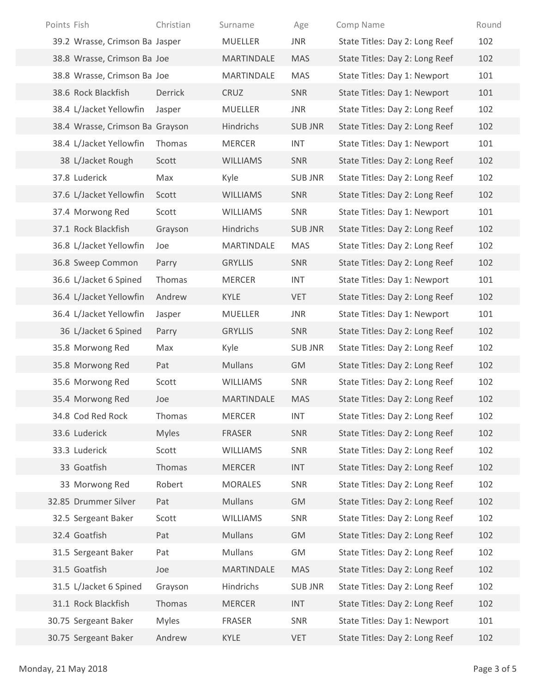| Points Fish                     | Christian        | Surname                         | Age               | Comp Name                                                        | Round       |
|---------------------------------|------------------|---------------------------------|-------------------|------------------------------------------------------------------|-------------|
| 39.2 Wrasse, Crimson Ba Jasper  |                  | MUELLER                         | <b>JNR</b>        | State Titles: Day 2: Long Reef                                   | 102         |
| 38.8 Wrasse, Crimson Ba Joe     |                  | MARTINDALE                      | <b>MAS</b>        | State Titles: Day 2: Long Reef                                   | 102         |
| 38.8 Wrasse, Crimson Ba Joe     |                  | MARTINDALE                      | MAS               | State Titles: Day 1: Newport                                     | 101         |
| 38.6 Rock Blackfish             | Derrick          | CRUZ                            | SNR               | State Titles: Day 1: Newport                                     | 101         |
| 38.4 L/Jacket Yellowfin         | Jasper           | <b>MUELLER</b>                  | <b>JNR</b>        | State Titles: Day 2: Long Reef                                   | 102         |
| 38.4 Wrasse, Crimson Ba Grayson |                  | Hindrichs                       | <b>SUB JNR</b>    | State Titles: Day 2: Long Reef                                   | 102         |
| 38.4 L/Jacket Yellowfin         | Thomas           | <b>MERCER</b>                   | INT               | State Titles: Day 1: Newport                                     | 101         |
| 38 L/Jacket Rough               | Scott            | <b>WILLIAMS</b>                 | SNR               | State Titles: Day 2: Long Reef                                   | 102         |
| 37.8 Luderick                   | Max              | Kyle                            | <b>SUB JNR</b>    | State Titles: Day 2: Long Reef                                   | 102         |
| 37.6 L/Jacket Yellowfin         | Scott            | <b>WILLIAMS</b>                 | SNR               | State Titles: Day 2: Long Reef                                   | 102         |
| 37.4 Morwong Red                | Scott            | WILLIAMS                        | SNR               | State Titles: Day 1: Newport                                     | 101         |
| 37.1 Rock Blackfish             | Grayson          | Hindrichs                       | <b>SUB JNR</b>    | State Titles: Day 2: Long Reef                                   | 102         |
| 36.8 L/Jacket Yellowfin         | Joe              | MARTINDALE                      | MAS               | State Titles: Day 2: Long Reef                                   | 102         |
| 36.8 Sweep Common               | Parry            | <b>GRYLLIS</b>                  | SNR               | State Titles: Day 2: Long Reef                                   | 102         |
| 36.6 L/Jacket 6 Spined          | Thomas           | MERCER                          | INT               | State Titles: Day 1: Newport                                     | 101         |
| 36.4 L/Jacket Yellowfin         | Andrew           | KYLE                            | VET               | State Titles: Day 2: Long Reef                                   | 102         |
| 36.4 L/Jacket Yellowfin         | Jasper           | MUELLER                         | JNR               | State Titles: Day 1: Newport                                     | 101         |
| 36 L/Jacket 6 Spined            | Parry            | <b>GRYLLIS</b>                  | SNR               | State Titles: Day 2: Long Reef                                   | 102         |
| 35.8 Morwong Red                | Max              | Kyle                            | <b>SUB JNR</b>    | State Titles: Day 2: Long Reef                                   | 102         |
| 35.8 Morwong Red                | Pat              | Mullans                         | GM                | State Titles: Day 2: Long Reef                                   | 102         |
| 35.6 Morwong Red                | Scott            | WILLIAMS                        | SNR               | State Titles: Day 2: Long Reef                                   | 102         |
| 35.4 Morwong Red                | Joe              | MARTINDALE                      | <b>MAS</b>        | State Titles: Day 2: Long Reef                                   | 102         |
| 34.8 Cod Red Rock               | Thomas           | <b>MERCER</b>                   | <b>INT</b>        | State Titles: Day 2: Long Reef                                   | 102         |
| 33.6 Luderick                   | <b>Myles</b>     | FRASER                          | SNR               | State Titles: Day 2: Long Reef                                   | 102         |
| 33.3 Luderick                   | Scott            | WILLIAMS                        | SNR               | State Titles: Day 2: Long Reef                                   | 102         |
| 33 Goatfish<br>33 Morwong Red   | Thomas<br>Robert | <b>MERCER</b><br><b>MORALES</b> | <b>INT</b><br>SNR | State Titles: Day 2: Long Reef<br>State Titles: Day 2: Long Reef | 102<br>102  |
| 32.85 Drummer Silver            | Pat              | Mullans                         | GM                | State Titles: Day 2: Long Reef                                   | 102         |
| 32.5 Sergeant Baker             | Scott            | WILLIAMS                        | SNR               | State Titles: Day 2: Long Reef                                   | 102         |
| 32.4 Goatfish                   | Pat              | Mullans                         | GM                | State Titles: Day 2: Long Reef                                   | 102         |
| 31.5 Sergeant Baker             | Pat              | Mullans                         | GM                | State Titles: Day 2: Long Reef                                   | 102         |
| 31.5 Goatfish                   | Joe              | MARTINDALE                      | <b>MAS</b>        | State Titles: Day 2: Long Reef                                   | 102         |
| 31.5 L/Jacket 6 Spined          | Grayson          | Hindrichs                       | <b>SUB JNR</b>    | State Titles: Day 2: Long Reef                                   | 102         |
| 31.1 Rock Blackfish             | Thomas           | <b>MERCER</b>                   | <b>INT</b>        | State Titles: Day 2: Long Reef                                   | 102         |
| 30.75 Sergeant Baker            | <b>Myles</b>     | FRASER                          | SNR               | State Titles: Day 1: Newport                                     | 101         |
| 30.75 Sergeant Baker            | Andrew           | KYLE                            | VET               | State Titles: Day 2: Long Reef                                   | 102         |
|                                 |                  |                                 |                   |                                                                  |             |
| Monday, 21 May 2018             |                  |                                 |                   |                                                                  | Page 3 of 5 |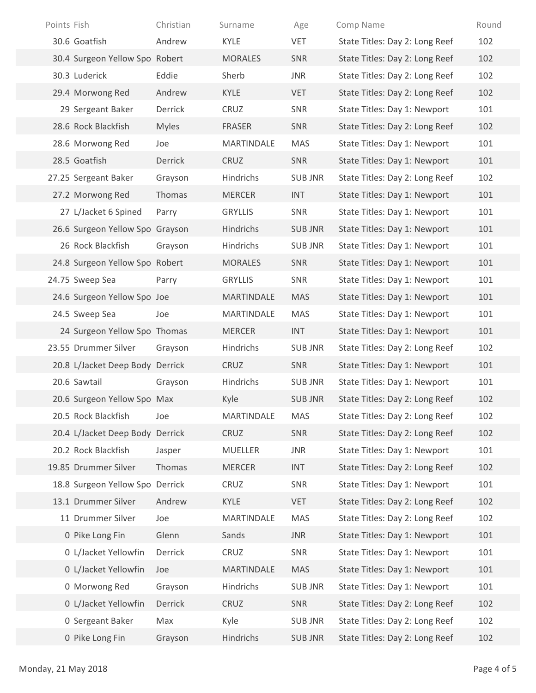| Points Fish                     | Christian     | Surname        | Age            | Comp Name                      | Round       |
|---------------------------------|---------------|----------------|----------------|--------------------------------|-------------|
| 30.6 Goatfish                   | Andrew        | KYLE           | <b>VET</b>     | State Titles: Day 2: Long Reef | 102         |
| 30.4 Surgeon Yellow Spo Robert  |               | <b>MORALES</b> | SNR            | State Titles: Day 2: Long Reef | 102         |
| 30.3 Luderick                   | Eddie         | Sherb          | <b>JNR</b>     | State Titles: Day 2: Long Reef | 102         |
| 29.4 Morwong Red                | Andrew        | KYLE           | VET            | State Titles: Day 2: Long Reef | 102         |
| 29 Sergeant Baker               | Derrick       | CRUZ           | SNR            | State Titles: Day 1: Newport   | 101         |
| 28.6 Rock Blackfish             | <b>Myles</b>  | FRASER         | SNR            | State Titles: Day 2: Long Reef | 102         |
| 28.6 Morwong Red                | Joe           | MARTINDALE     | <b>MAS</b>     | State Titles: Day 1: Newport   | 101         |
| 28.5 Goatfish                   | Derrick       | CRUZ           | SNR            | State Titles: Day 1: Newport   | 101         |
| 27.25 Sergeant Baker            | Grayson       | Hindrichs      | <b>SUB JNR</b> | State Titles: Day 2: Long Reef | 102         |
| 27.2 Morwong Red                | <b>Thomas</b> | <b>MERCER</b>  | <b>INT</b>     | State Titles: Day 1: Newport   | 101         |
| 27 L/Jacket 6 Spined            | Parry         | <b>GRYLLIS</b> | SNR            | State Titles: Day 1: Newport   | 101         |
| 26.6 Surgeon Yellow Spo Grayson |               | Hindrichs      | <b>SUB JNR</b> | State Titles: Day 1: Newport   | 101         |
| 26 Rock Blackfish               | Grayson       | Hindrichs      | <b>SUB JNR</b> | State Titles: Day 1: Newport   | 101         |
| 24.8 Surgeon Yellow Spo Robert  |               | <b>MORALES</b> | SNR            | State Titles: Day 1: Newport   | 101         |
| 24.75 Sweep Sea                 | Parry         | <b>GRYLLIS</b> | SNR            | State Titles: Day 1: Newport   | 101         |
| 24.6 Surgeon Yellow Spo Joe     |               | MARTINDALE     | <b>MAS</b>     | State Titles: Day 1: Newport   | 101         |
| 24.5 Sweep Sea                  | Joe           | MARTINDALE     | MAS            | State Titles: Day 1: Newport   | 101         |
| 24 Surgeon Yellow Spo Thomas    |               | <b>MERCER</b>  | <b>INT</b>     | State Titles: Day 1: Newport   | 101         |
| 23.55 Drummer Silver            | Grayson       | Hindrichs      | <b>SUB JNR</b> | State Titles: Day 2: Long Reef | 102         |
| 20.8 L/Jacket Deep Body Derrick |               | CRUZ           | SNR            | State Titles: Day 1: Newport   | 101         |
| 20.6 Sawtail                    | Grayson       | Hindrichs      | <b>SUB JNR</b> | State Titles: Day 1: Newport   | 101         |
| 20.6 Surgeon Yellow Spo Max     |               | Kyle           | <b>SUB JNR</b> | State Titles: Day 2: Long Reef | 102         |
| 20.5 Rock Blackfish             | Joe           | MARTINDALE     | MAS            | State Titles: Day 2: Long Reef | 102         |
| 20.4 L/Jacket Deep Body Derrick |               | CRUZ           | SNR            | State Titles: Day 2: Long Reef | 102         |
| 20.2 Rock Blackfish             | Jasper        | MUELLER        | JNR            | State Titles: Day 1: Newport   | 101         |
| 19.85 Drummer Silver            | Thomas        | <b>MERCER</b>  | <b>INT</b>     | State Titles: Day 2: Long Reef | 102         |
| 18.8 Surgeon Yellow Spo Derrick |               | CRUZ           | SNR            | State Titles: Day 1: Newport   | 101         |
| 13.1 Drummer Silver             | Andrew        | KYLE           | VET            | State Titles: Day 2: Long Reef | 102         |
| 11 Drummer Silver               | Joe           | MARTINDALE     | <b>MAS</b>     | State Titles: Day 2: Long Reef | 102         |
| 0 Pike Long Fin                 | Glenn         | Sands          | <b>JNR</b>     | State Titles: Day 1: Newport   | 101         |
| 0 L/Jacket Yellowfin            | Derrick       | CRUZ           | SNR            | State Titles: Day 1: Newport   | 101         |
| 0 L/Jacket Yellowfin            | Joe           | MARTINDALE     | <b>MAS</b>     | State Titles: Day 1: Newport   | 101         |
| 0 Morwong Red                   | Grayson       | Hindrichs      | <b>SUB JNR</b> | State Titles: Day 1: Newport   | 101         |
| 0 L/Jacket Yellowfin            | Derrick       | CRUZ           | SNR            | State Titles: Day 2: Long Reef | 102         |
| 0 Sergeant Baker                | Max           | Kyle           | <b>SUB JNR</b> | State Titles: Day 2: Long Reef | 102         |
| 0 Pike Long Fin                 | Grayson       | Hindrichs      | <b>SUB JNR</b> | State Titles: Day 2: Long Reef | 102         |
| Monday, 21 May 2018             |               |                |                |                                | Page 4 of 5 |